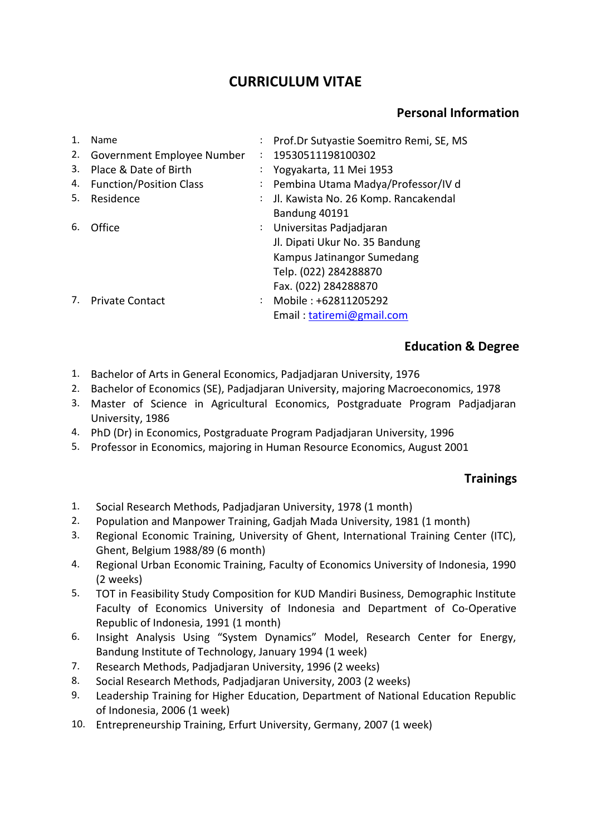# **CURRICULUM VITAE**

## **Personal Information**

| $\mathbf 1$ . | Name                           | : Prof.Dr Sutyastie Soemitro Remi, SE, MS |
|---------------|--------------------------------|-------------------------------------------|
| 2.            | Government Employee Number     | 19530511198100302                         |
| 3.            | Place & Date of Birth          | : Yogyakarta, 11 Mei 1953                 |
| 4.            | <b>Function/Position Class</b> | : Pembina Utama Madya/Professor/IV d      |
| 5.            | Residence                      | : Jl. Kawista No. 26 Komp. Rancakendal    |
|               |                                | Bandung 40191                             |
| 6.            | Office                         | : Universitas Padjadjaran                 |
|               |                                | Jl. Dipati Ukur No. 35 Bandung            |
|               |                                | Kampus Jatinangor Sumedang                |
|               |                                | Telp. (022) 284288870                     |
|               |                                | Fax. (022) 284288870                      |
|               | <b>Private Contact</b>         | : Mobile: +62811205292                    |
|               |                                | Email: tatiremi@gmail.com                 |

### **Education & Degree**

- 1. Bachelor of Arts in General Economics, Padjadjaran University, 1976
- 2. Bachelor of Economics (SE), Padjadjaran University, majoring Macroeconomics, 1978
- 3. Master of Science in Agricultural Economics, Postgraduate Program Padjadjaran University, 1986
- 4. PhD (Dr) in Economics, Postgraduate Program Padjadjaran University, 1996
- 5. Professor in Economics, majoring in Human Resource Economics, August 2001

#### **Trainings**

- 1. Social Research Methods, Padjadjaran University, 1978 (1 month)
- 2. Population and Manpower Training, Gadjah Mada University, 1981 (1 month)
- 3. Regional Economic Training, University of Ghent, International Training Center (ITC), Ghent, Belgium 1988/89 (6 month)
- 4. Regional Urban Economic Training, Faculty of Economics University of Indonesia, 1990 (2 weeks)
- 5. TOT in Feasibility Study Composition for KUD Mandiri Business, Demographic Institute Faculty of Economics University of Indonesia and Department of Co-Operative Republic of Indonesia, 1991 (1 month)
- 6. Insight Analysis Using "System Dynamics" Model, Research Center for Energy, Bandung Institute of Technology, January 1994 (1 week)
- 7. Research Methods, Padjadjaran University, 1996 (2 weeks)
- 8. Social Research Methods, Padjadjaran University, 2003 (2 weeks)
- 9. Leadership Training for Higher Education, Department of National Education Republic of Indonesia, 2006 (1 week)
- 10. Entrepreneurship Training, Erfurt University, Germany, 2007 (1 week)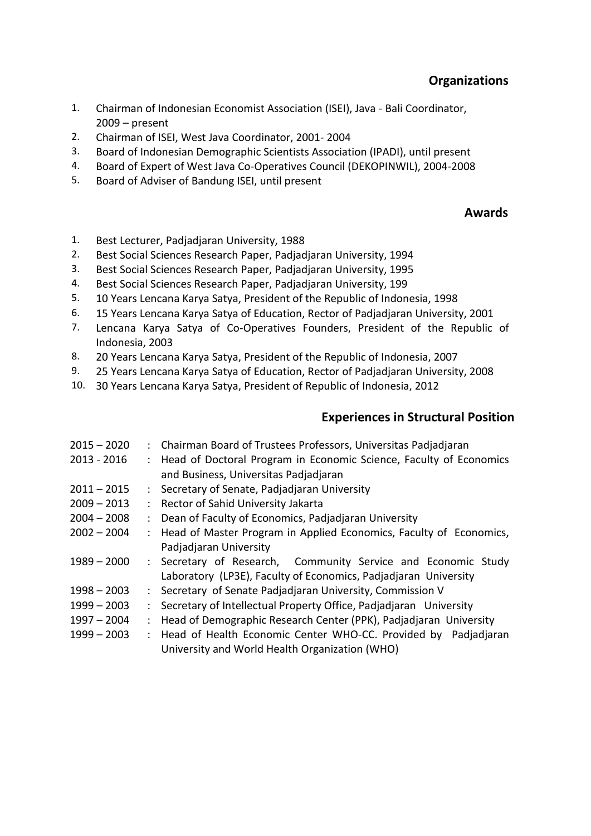- 1. Chairman of Indonesian Economist Association (ISEI), Java Bali Coordinator, 2009 – present
- 2. Chairman of ISEI, West Java Coordinator, 2001- 2004
- 3. Board of Indonesian Demographic Scientists Association (IPADI), until present
- 4. Board of Expert of West Java Co-Operatives Council (DEKOPINWIL), 2004-2008
- 5. Board of Adviser of Bandung ISEI, until present

#### **Awards**

- 1. Best Lecturer, Padjadjaran University, 1988
- 2. Best Social Sciences Research Paper, Padjadjaran University, 1994
- 3. Best Social Sciences Research Paper, Padjadjaran University, 1995
- 4. Best Social Sciences Research Paper, Padjadjaran University, 199
- 5. 10 Years Lencana Karya Satya, President of the Republic of Indonesia, 1998
- 6. 15 Years Lencana Karya Satya of Education, Rector of Padjadjaran University, 2001
- 7. Lencana Karya Satya of Co-Operatives Founders, President of the Republic of Indonesia, 2003
- 8. 20 Years Lencana Karya Satya, President of the Republic of Indonesia, 2007
- 9. 25 Years Lencana Karya Satya of Education, Rector of Padjadjaran University, 2008
- 10. 30 Years Lencana Karya Satya, President of Republic of Indonesia, 2012

### **Experiences in Structural Position**

- 2015 2020 : Chairman Board of Trustees Professors, Universitas Padjadjaran 2013 - 2016 : Head of Doctoral Program in Economic Science, Faculty of Economics and Business, Universitas Padjadjaran 2011 – 2015 : Secretary of Senate, Padjadjaran University 2009 – 2013 : Rector of Sahid University Jakarta 2004 – 2008 : Dean of Faculty of Economics, Padjadjaran University 2002 – 2004 : Head of Master Program in Applied Economics, Faculty of Economics,
- Padjadjaran University
- 1989 2000 : Secretary of Research, Community Service and Economic Study Laboratory (LP3E), Faculty of Economics, Padjadjaran University
- 1998 2003 : Secretary of Senate Padjadjaran University, Commission V
- 1999 2003 : Secretary of Intellectual Property Office, Padjadjaran University
- 1997 2004 : Head of Demographic Research Center (PPK), Padjadjaran University
- 1999 2003 : Head of Health Economic Center WHO-CC. Provided by Padjadjaran University and World Health Organization (WHO)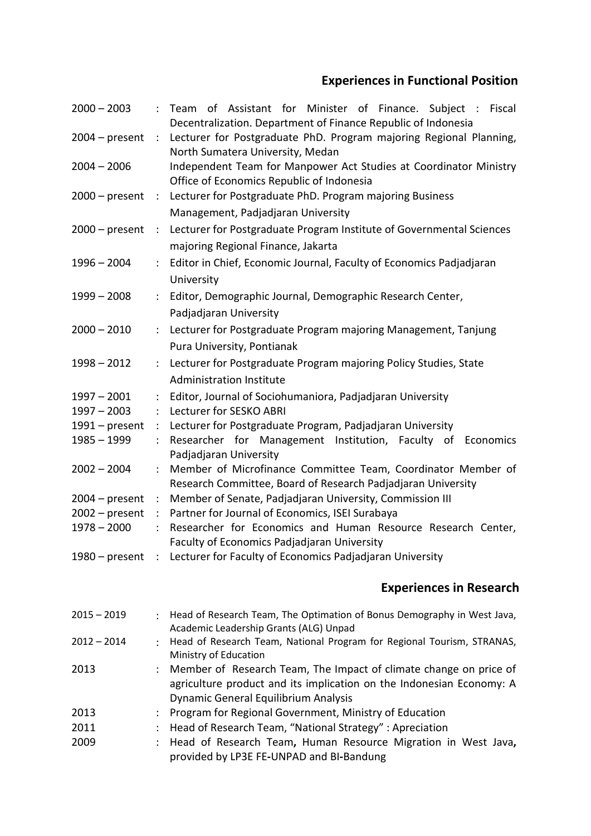# **Experiences in Functional Position**

| $2000 - 2003$    | $\ddot{\cdot}$         | of Assistant for Minister of Finance. Subject : Fiscal<br>Team<br>Decentralization. Department of Finance Republic of Indonesia                                                   |
|------------------|------------------------|-----------------------------------------------------------------------------------------------------------------------------------------------------------------------------------|
| $2004 - present$ | $\ddot{\phantom{a}}$   | Lecturer for Postgraduate PhD. Program majoring Regional Planning,<br>North Sumatera University, Medan                                                                            |
| $2004 - 2006$    |                        | Independent Team for Manpower Act Studies at Coordinator Ministry<br>Office of Economics Republic of Indonesia                                                                    |
| $2000 - present$ | $\ddot{\phantom{a}}$ . | Lecturer for Postgraduate PhD. Program majoring Business<br>Management, Padjadjaran University                                                                                    |
| $2000 - present$ | $\ddot{\phantom{a}}$   | Lecturer for Postgraduate Program Institute of Governmental Sciences<br>majoring Regional Finance, Jakarta                                                                        |
| $1996 - 2004$    | $\ddot{\cdot}$         | Editor in Chief, Economic Journal, Faculty of Economics Padjadjaran<br>University                                                                                                 |
| $1999 - 2008$    | ÷                      | Editor, Demographic Journal, Demographic Research Center,<br>Padjadjaran University                                                                                               |
| $2000 - 2010$    | $\ddot{\phantom{a}}$   | Lecturer for Postgraduate Program majoring Management, Tanjung<br>Pura University, Pontianak                                                                                      |
| $1998 - 2012$    | $\ddot{\cdot}$         | Lecturer for Postgraduate Program majoring Policy Studies, State<br><b>Administration Institute</b>                                                                               |
| $1997 - 2001$    | $\ddot{\cdot}$         | Editor, Journal of Sociohumaniora, Padjadjaran University                                                                                                                         |
| $1997 - 2003$    | :                      | Lecturer for SESKO ABRI                                                                                                                                                           |
| $1991$ – present | $\ddot{\cdot}$         | Lecturer for Postgraduate Program, Padjadjaran University                                                                                                                         |
| $1985 - 1999$    | $\ddot{\cdot}$         | Researcher for Management Institution, Faculty of Economics<br>Padjadjaran University                                                                                             |
| $2002 - 2004$    |                        | Member of Microfinance Committee Team, Coordinator Member of<br>Research Committee, Board of Research Padjadjaran University                                                      |
| $2004 - present$ | $\ddot{\cdot}$         | Member of Senate, Padjadjaran University, Commission III                                                                                                                          |
| $2002$ – present | $\ddot{\cdot}$         | Partner for Journal of Economics, ISEI Surabaya                                                                                                                                   |
| $1978 - 2000$    |                        | Researcher for Economics and Human Resource Research Center,<br><b>Faculty of Economics Padjadjaran University</b>                                                                |
|                  |                        | 1980 – present : Lecturer for Faculty of Economics Padjadjaran University                                                                                                         |
|                  |                        | <b>Experiences in Research</b>                                                                                                                                                    |
| $2015 - 2019$    | $\ddot{\phantom{0}}$   | Head of Research Team, The Optimation of Bonus Demography in West Java,<br>Academic Leadership Grants (ALG) Unpad                                                                 |
| $2012 - 2014$    |                        | Head of Research Team, National Program for Regional Tourism, STRANAS,<br>Ministry of Education                                                                                   |
| 2013             | $\ddot{\cdot}$         | Member of Research Team, The Impact of climate change on price of<br>agriculture product and its implication on the Indonesian Economy: A<br>Dynamic General Equilibrium Analysis |
| 2013             |                        | Program for Regional Government, Ministry of Education                                                                                                                            |
| 2011             |                        | Head of Research Team, "National Strategy" : Apreciation                                                                                                                          |

2009 : Head of Research Team**,** Human Resource Migration in West Java**,**  provided by LP3E FE**-**UNPAD and BI**-**Bandung